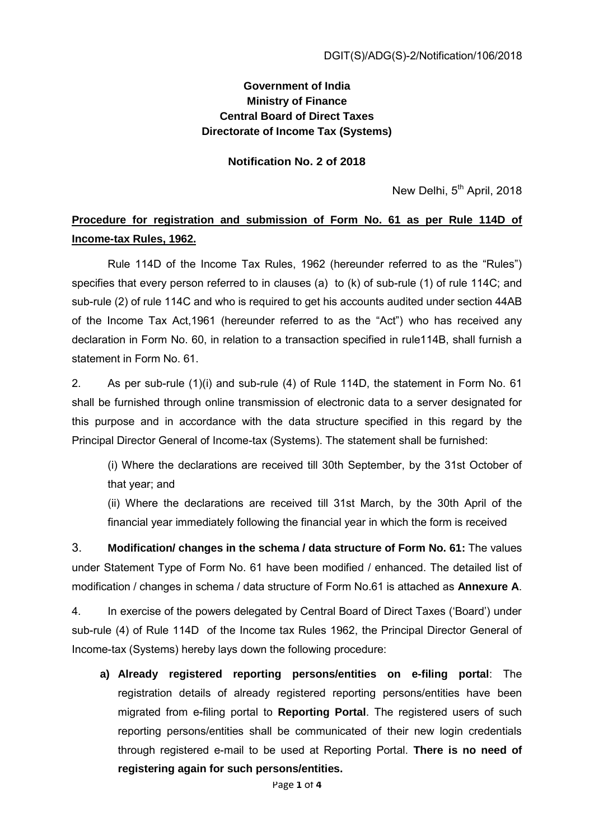## **Government of India Ministry of Finance Central Board of Direct Taxes Directorate of Income Tax (Systems)**

**Notification No. 2 of 2018** 

New Delhi, 5<sup>th</sup> April, 2018

## **Procedure for registration and submission of Form No. 61 as per Rule 114D of Income-tax Rules, 1962.**

Rule 114D of the Income Tax Rules, 1962 (hereunder referred to as the "Rules") specifies that every person referred to in clauses (a) to (k) of sub-rule (1) of rule 114C; and sub-rule (2) of rule 114C and who is required to get his accounts audited under section 44AB of the Income Tax Act,1961 (hereunder referred to as the "Act") who has received any declaration in Form No. 60, in relation to a transaction specified in rule114B, shall furnish a statement in Form No. 61.

2. As per sub-rule (1)(i) and sub-rule (4) of Rule 114D, the statement in Form No. 61 shall be furnished through online transmission of electronic data to a server designated for this purpose and in accordance with the data structure specified in this regard by the Principal Director General of Income-tax (Systems). The statement shall be furnished:

(i) Where the declarations are received till 30th September, by the 31st October of that year; and

(ii) Where the declarations are received till 31st March, by the 30th April of the financial year immediately following the financial year in which the form is received

3. **Modification/ changes in the schema / data structure of Form No. 61:** The values under Statement Type of Form No. 61 have been modified / enhanced. The detailed list of modification / changes in schema / data structure of Form No.61 is attached as **Annexure A**.

4. In exercise of the powers delegated by Central Board of Direct Taxes ('Board') under sub-rule (4) of Rule 114D of the Income tax Rules 1962, the Principal Director General of Income-tax (Systems) hereby lays down the following procedure:

**a) Already registered reporting persons/entities on e-filing portal**: The registration details of already registered reporting persons/entities have been migrated from e-filing portal to **Reporting Portal**. The registered users of such reporting persons/entities shall be communicated of their new login credentials through registered e-mail to be used at Reporting Portal. **There is no need of registering again for such persons/entities.**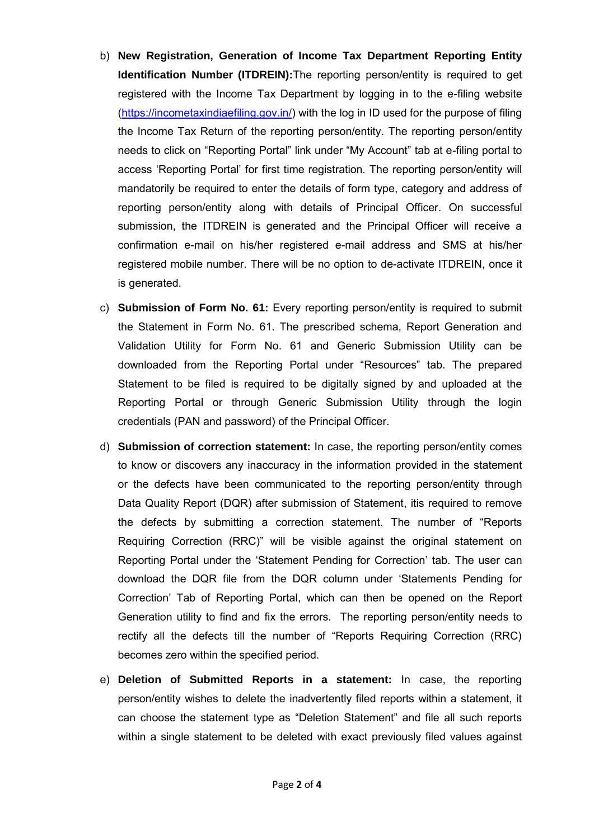- b) **New Registration, Generation of Income Tax Department Reporting Entity Identification Number (ITDREIN):**The reporting person/entity is required to get registered with the Income Tax Department by logging in to the e-filing website [\(https://incometaxindiaefiling.gov.in/\)](https://incometaxindiaefiling.gov.in/) with the log in ID used for the purpose of filing the Income Tax Return of the reporting person/entity. The reporting person/entity needs to click on "Reporting Portal" link under "My Account" tab at e-filing portal to access 'Reporting Portal' for first time registration. The reporting person/entity will mandatorily be required to enter the details of form type, category and address of reporting person/entity along with details of Principal Officer. On successful submission, the ITDREIN is generated and the Principal Officer will receive a confirmation e-mail on his/her registered e-mail address and SMS at his/her registered mobile number. There will be no option to de-activate ITDREIN, once it is generated.
- c) **Submission of Form No. 61:** Every reporting person/entity is required to submit the Statement in Form No. 61. The prescribed schema, Report Generation and Validation Utility for Form No. 61 and Generic Submission Utility can be downloaded from the Reporting Portal under "Resources" tab. The prepared Statement to be filed is required to be digitally signed by and uploaded at the Reporting Portal or through Generic Submission Utility through the login credentials (PAN and password) of the Principal Officer.
- d) **Submission of correction statement:** In case, the reporting person/entity comes to know or discovers any inaccuracy in the information provided in the statement or the defects have been communicated to the reporting person/entity through Data Quality Report (DQR) after submission of Statement, itis required to remove the defects by submitting a correction statement. The number of "Reports Requiring Correction (RRC)" will be visible against the original statement on Reporting Portal under the 'Statement Pending for Correction' tab. The user can download the DQR file from the DQR column under 'Statements Pending for Correction' Tab of Reporting Portal, which can then be opened on the Report Generation utility to find and fix the errors. The reporting person/entity needs to rectify all the defects till the number of "Reports Requiring Correction (RRC) becomes zero within the specified period.
- e) **Deletion of Submitted Reports in a statement:** In case, the reporting person/entity wishes to delete the inadvertently filed reports within a statement, it can choose the statement type as "Deletion Statement" and file all such reports within a single statement to be deleted with exact previously filed values against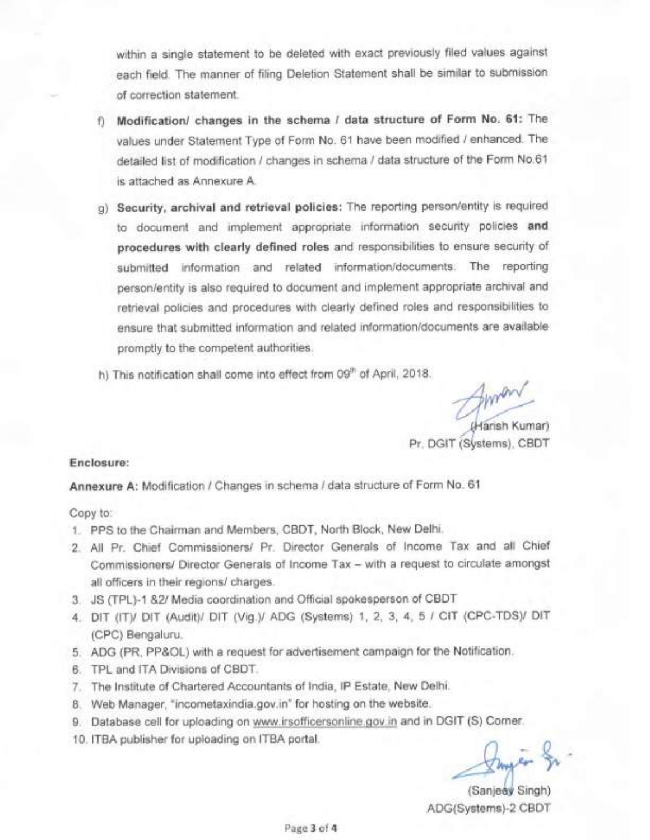within a single statement to be deleted with exact previously filed values against each field. The manner of filing Deletion Statement shall be similar to submission. of correction statement.

- f) Modification/ changes in the schema / data structure of Form No. 61: The values under Statement Type of Form No. 61 have been modified / enhanced. The detailed list of modification / changes in schema / data structure of the Form No.61 is attached as Annexure A.
- g) Security, archival and retrieval policies: The reporting person/entity is required to document and implement appropriate information security policies and procedures with clearly defined roles and responsibilities to ensure security of submitted information and related information/documents. The reporting person/entity is also required to document and implement appropriate archival and retrieval policies and procedures with clearly defined roles and responsibilities to ensure that submitted information and related information/documents are available promptly to the competent authorities.
- h) This notification shall come into effect from 09" of April, 2018.

(Harish Kumar)

Pr. DGIT (Systems), CBDT

## Enclosure:

Annexure A: Modification / Changes in schema / data structure of Form No. 61

Copy to:

- 1. PPS to the Chairman and Members, CBDT, North Block, New Delhi.
- 2. All Pr. Chief Commissioners/ Pr. Director Generals of Income Tax and all Chief Commissioners/ Director Generals of Income Tax - with a request to circulate amongst all officers in their regions/ charges.
- 3. JS (TPL)-1 &2/ Media coordination and Official spokesperson of CBDT
- 4. DIT (IT)/ DIT (Audit)/ DIT (Vig.)/ ADG (Systems) 1, 2, 3, 4, 5 / CIT (CPC-TDS)/ DIT (CPC) Bengaluru.
- 5. ADG (PR, PP&OL) with a request for advertisement campaign for the Notification.
- 6. TPL and ITA Divisions of CBDT.
- 7. The Institute of Chartered Accountants of India, IP Estate, New Delhi.
- 8. Web Manager, "incometaxindia.gov.in" for hosting on the website.
- 9. Database cell for uploading on www.irsofficersonline gov.in and in DGIT (S) Corner.
- 10. ITBA publisher for uploading on ITBA portal.

Imper

(Sanjeey Singh) ADG(Systems)-2 CBDT